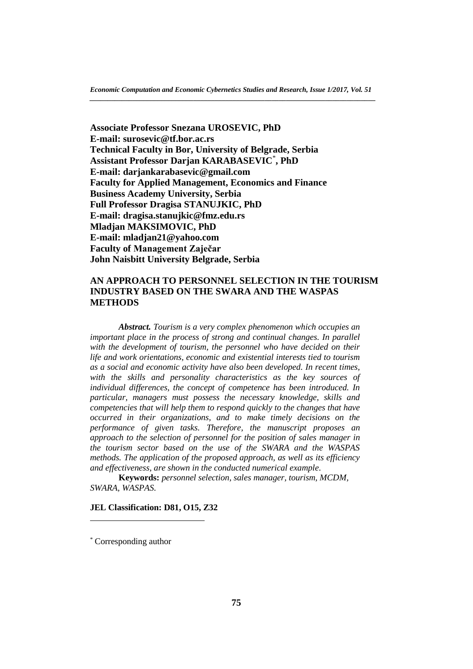**Associate Professor Snezana UROSEVIC, PhD E-mail: surosevic@tf.bor.ac.rs Technical Faculty in Bor, University of Belgrade, Serbia Assistant Professor Darjan KARABASEVIC**\* **, PhD E-mail: darjankarabasevic@gmail.com Faculty for Applied Management, Economics and Finance Business Academy University, Serbia Full Professor Dragisa STANUJKIC, PhD E-mail: dragisa.stanujkic@fmz.edu.rs Mladjan MAKSIMOVIC, PhD E-mail: mladjan21@yahoo.com Faculty of Management Zaječar John Naisbitt University Belgrade, Serbia**

# **AN APPROACH TO PERSONNEL SELECTION IN THE TOURISM INDUSTRY BASED ON THE SWARA AND THE WASPAS METHODS**

*Abstract. Tourism is a very complex phenomenon which occupies an important place in the process of strong and continual changes. In parallel with the development of tourism, the personnel who have decided on their life and work orientations, economic and existential interests tied to tourism as a social and economic activity have also been developed. In recent times, with the skills and personality characteristics as the key sources of individual differences, the concept of competence has been introduced. In particular, managers must possess the necessary knowledge, skills and competencies that will help them to respond quickly to the changes that have occurred in their organizations, and to make timely decisions on the performance of given tasks. Therefore, the manuscript proposes an approach to the selection of personnel for the position of sales manager in the tourism sector based on the use of the SWARA and the WASPAS methods. The application of the proposed approach, as well as its efficiency and effectiveness, are shown in the conducted numerical example.*

**Keywords:** *personnel selection, sales manager, tourism, MCDM, SWARA, WASPAS.*

## **JEL Classification: D81, O15, Z32**

 $\overline{a}$ 

<sup>\*</sup> Corresponding author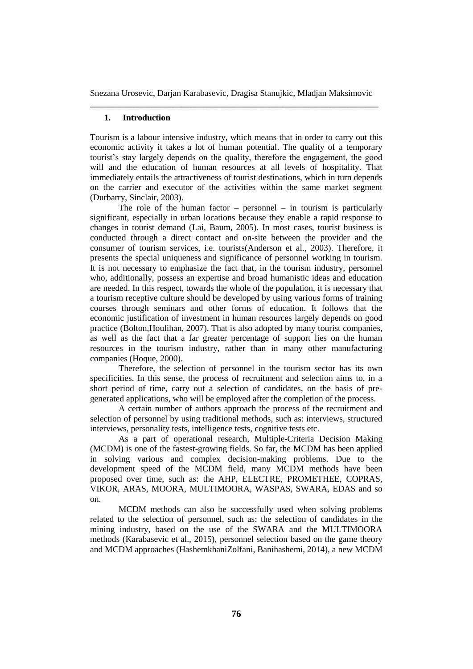## **1. Introduction**

Tourism is a labour intensive industry, which means that in order to carry out this economic activity it takes a lot of human potential. The quality of a temporary tourist's stay largely depends on the quality, therefore the engagement, the good will and the education of human resources at all levels of hospitality. That immediately entails the attractiveness of tourist destinations, which in turn depends on the carrier and executor of the activities within the same market segment (Durbarry, Sinclair, 2003).

The role of the human factor – personnel – in tourism is particularly significant, especially in urban locations because they enable a rapid response to changes in tourist demand (Lai, Baum, 2005). In most cases, tourist business is conducted through a direct contact and on-site between the provider and the consumer of tourism services, i.e. tourists(Anderson et al., 2003). Therefore, it presents the special uniqueness and significance of personnel working in tourism. It is not necessary to emphasize the fact that, in the tourism industry, personnel who, additionally, possess an expertise and broad humanistic ideas and education are needed. In this respect, towards the whole of the population, it is necessary that a tourism receptive culture should be developed by using various forms of training courses through seminars and other forms of education. It follows that the economic justification of investment in human resources largely depends on good practice (Bolton,Houlihan, 2007). That is also adopted by many tourist companies, as well as the fact that a far greater percentage of support lies on the human resources in the tourism industry, rather than in many other manufacturing companies (Hoque, 2000).

Therefore, the selection of personnel in the tourism sector has its own specificities. In this sense, the process of recruitment and selection aims to, in a short period of time, carry out a selection of candidates, on the basis of pregenerated applications, who will be employed after the completion of the process.

A certain number of authors approach the process of the recruitment and selection of personnel by using traditional methods, such as: interviews, structured interviews, personality tests, intelligence tests, cognitive tests etc.

As a part of operational research, Multiple-Criteria Decision Making (MCDM) is one of the fastest-growing fields. So far, the MCDM has been applied in solving various and complex decision-making problems. Due to the development speed of the MCDM field, many MCDM methods have been proposed over time, such as: the AHP, ELECTRE, PROMETHEE, COPRAS, VIKOR, ARAS, MOORA, MULTIMOORA, WASPAS, SWARA, EDAS and so on.

MCDM methods can also be successfully used when solving problems related to the selection of personnel, such as: the selection of candidates in the mining industry, based on the use of the SWARA and the MULTIMOORA methods (Karabasevic et al., 2015), personnel selection based on the game theory and MCDM approaches (HashemkhaniZolfani, Banihashemi, 2014), a new MCDM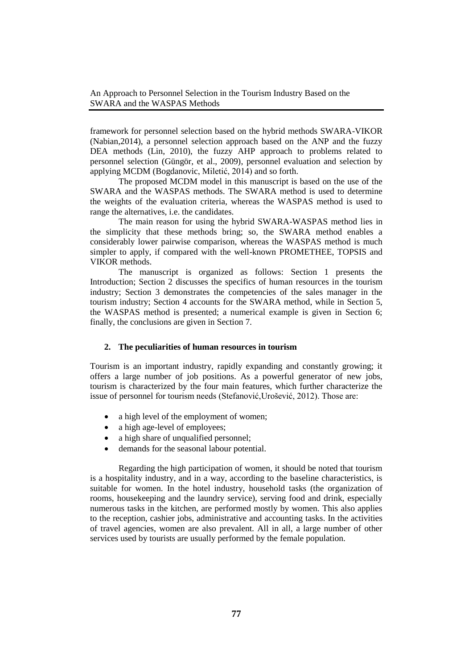framework for personnel selection based on the hybrid methods SWARA-VIKOR (Nabian,2014), a personnel selection approach based on the ANP and the fuzzy DEA methods (Lin, 2010), the fuzzy AHP approach to problems related to personnel selection (Güngör, et al., 2009), personnel evaluation and selection by applying MCDM (Bogdanovic, Miletić, 2014) and so forth.

The proposed MCDM model in this manuscript is based on the use of the SWARA and the WASPAS methods. The SWARA method is used to determine the weights of the evaluation criteria, whereas the WASPAS method is used to range the alternatives, i.e. the candidates.

The main reason for using the hybrid SWARA-WASPAS method lies in the simplicity that these methods bring; so, the SWARA method enables a considerably lower pairwise comparison, whereas the WASPAS method is much simpler to apply, if compared with the well-known PROMETHEE, TOPSIS and VIKOR methods.

The manuscript is organized as follows: Section 1 presents the Introduction; Section 2 discusses the specifics of human resources in the tourism industry; Section 3 demonstrates the competencies of the sales manager in the tourism industry; Section 4 accounts for the SWARA method, while in Section 5, the WASPAS method is presented; a numerical example is given in Section 6; finally, the conclusions are given in Section 7.

# **2. The peculiarities of human resources in tourism**

Tourism is an important industry, rapidly expanding and constantly growing; it offers a large number of job positions. As a powerful generator of new jobs, tourism is characterized by the four main features, which further characterize the issue of personnel for tourism needs (Stefanović,Urošević, 2012). Those are:

- a high level of the employment of women;
- a high age-level of employees;
- a high share of unqualified personnel;
- demands for the seasonal labour potential.

Regarding the high participation of women, it should be noted that tourism is a hospitality industry, and in a way, according to the baseline characteristics, is suitable for women. In the hotel industry, household tasks (the organization of rooms, housekeeping and the laundry service), serving food and drink, especially numerous tasks in the kitchen, are performed mostly by women. This also applies to the reception, cashier jobs, administrative and accounting tasks. In the activities of travel agencies, women are also prevalent. All in all, a large number of other services used by tourists are usually performed by the female population.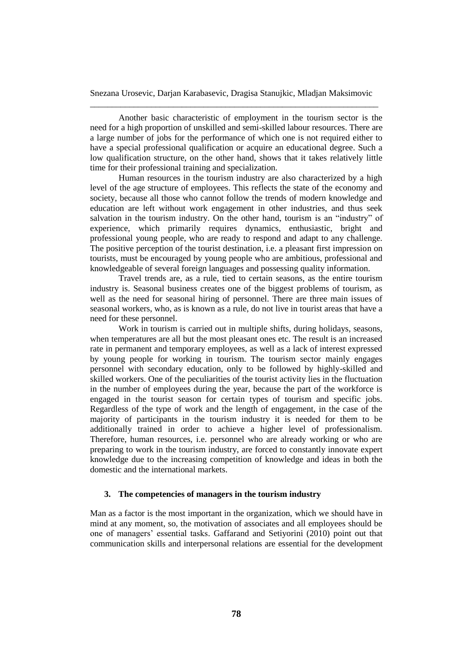Another basic characteristic of employment in the tourism sector is the need for a high proportion of unskilled and semi-skilled labour resources. There are a large number of jobs for the performance of which one is not required either to have a special professional qualification or acquire an educational degree. Such a low qualification structure, on the other hand, shows that it takes relatively little time for their professional training and specialization.

Human resources in the tourism industry are also characterized by a high level of the age structure of employees. This reflects the state of the economy and society, because all those who cannot follow the trends of modern knowledge and education are left without work engagement in other industries, and thus seek salvation in the tourism industry. On the other hand, tourism is an "industry" of experience, which primarily requires dynamics, enthusiastic, bright and professional young people, who are ready to respond and adapt to any challenge. The positive perception of the tourist destination, i.e. a pleasant first impression on tourists, must be encouraged by young people who are ambitious, professional and knowledgeable of several foreign languages and possessing quality information.

Travel trends are, as a rule, tied to certain seasons, as the entire tourism industry is. Seasonal business creates one of the biggest problems of tourism, as well as the need for seasonal hiring of personnel. There are three main issues of seasonal workers, who, as is known as a rule, do not live in tourist areas that have a need for these personnel.

Work in tourism is carried out in multiple shifts, during holidays, seasons, when temperatures are all but the most pleasant ones etc. The result is an increased rate in permanent and temporary employees, as well as a lack of interest expressed by young people for working in tourism. The tourism sector mainly engages personnel with secondary education, only to be followed by highly-skilled and skilled workers. One of the peculiarities of the tourist activity lies in the fluctuation in the number of employees during the year, because the part of the workforce is engaged in the tourist season for certain types of tourism and specific jobs. Regardless of the type of work and the length of engagement, in the case of the majority of participants in the tourism industry it is needed for them to be additionally trained in order to achieve a higher level of professionalism. Therefore, human resources, i.e. personnel who are already working or who are preparing to work in the tourism industry, are forced to constantly innovate expert knowledge due to the increasing competition of knowledge and ideas in both the domestic and the international markets.

# **3. The competencies of managers in the tourism industry**

Man as a factor is the most important in the organization, which we should have in mind at any moment, so, the motivation of associates and all employees should be one of managers' essential tasks. Gaffarand and Setiyorini (2010) point out that communication skills and interpersonal relations are essential for the development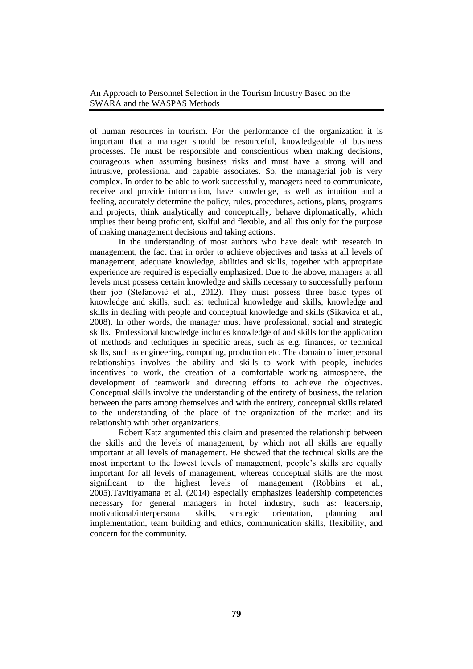of human resources in tourism. For the performance of the organization it is important that a manager should be resourceful, knowledgeable of business processes. He must be responsible and conscientious when making decisions, courageous when assuming business risks and must have a strong will and intrusive, professional and capable associates. So, the managerial job is very complex. In order to be able to work successfully, managers need to communicate, receive and provide information, have knowledge, as well as intuition and a feeling, accurately determine the policy, rules, procedures, actions, plans, programs and projects, think analytically and conceptually, behave diplomatically, which implies their being proficient, skilful and flexible, and all this only for the purpose of making management decisions and taking actions.

In the understanding of most authors who have dealt with research in management, the fact that in order to achieve objectives and tasks at all levels of management, adequate knowledge, abilities and skills, together with appropriate experience are required is especially emphasized. Due to the above, managers at all levels must possess certain knowledge and skills necessary to successfully perform their job (Stefanović et al., 2012). They must possess three basic types of knowledge and skills, such as: technical knowledge and skills, knowledge and skills in dealing with people and conceptual knowledge and skills (Sikavica et al., 2008). In other words, the manager must have professional, social and strategic skills. Professional knowledge includes knowledge of and skills for the application of methods and techniques in specific areas, such as e.g. finances, or technical skills, such as engineering, computing, production etc. The domain of interpersonal relationships involves the ability and skills to work with people, includes incentives to work, the creation of a comfortable working atmosphere, the development of teamwork and directing efforts to achieve the objectives. Conceptual skills involve the understanding of the entirety of business, the relation between the parts among themselves and with the entirety, conceptual skills related to the understanding of the place of the organization of the market and its relationship with other organizations.

Robert Katz argumented this claim and presented the relationship between the skills and the levels of management, by which not all skills are equally important at all levels of management. He showed that the technical skills are the most important to the lowest levels of management, people's skills are equally important for all levels of management, whereas conceptual skills are the most significant to the highest levels of management (Robbins et al., 2005).Tavitiyamana et al. (2014) especially emphasizes leadership competencies necessary for general managers in hotel industry, such as: leadership, motivational/interpersonal skills, strategic orientation, planning and implementation, team building and ethics, communication skills, flexibility, and concern for the community.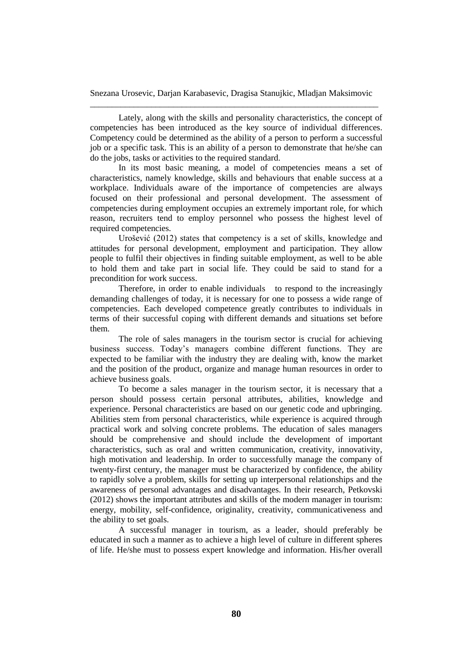Lately, along with the skills and personality characteristics, the concept of competencies has been introduced as the key source of individual differences. Competency could be determined as the ability of a person to perform a successful job or a specific task. This is an ability of a person to demonstrate that he/she can do the jobs, tasks or activities to the required standard.

In its most basic meaning, a model of competencies means a set of characteristics, namely knowledge, skills and behaviours that enable success at a workplace. Individuals aware of the importance of competencies are always focused on their professional and personal development. The assessment of competencies during employment occupies an extremely important role, for which reason, recruiters tend to employ personnel who possess the highest level of required competencies.

Urošević (2012) states that competency is a set of skills, knowledge and attitudes for personal development, employment and participation. They allow people to fulfil their objectives in finding suitable employment, as well to be able to hold them and take part in social life. They could be said to stand for a precondition for work success.

Therefore, in order to enable individuals to respond to the increasingly demanding challenges of today, it is necessary for one to possess a wide range of competencies. Each developed competence greatly contributes to individuals in terms of their successful coping with different demands and situations set before them.

The role of sales managers in the tourism sector is crucial for achieving business success. Today's managers combine different functions. They are expected to be familiar with the industry they are dealing with, know the market and the position of the product, organize and manage human resources in order to achieve business goals.

To become a sales manager in the tourism sector, it is necessary that a person should possess certain personal attributes, abilities, knowledge and experience. Personal characteristics are based on our genetic code and upbringing. Abilities stem from personal characteristics, while experience is acquired through practical work and solving concrete problems. The education of sales managers should be comprehensive and should include the development of important characteristics, such as oral and written communication, creativity, innovativity, high motivation and leadership. In order to successfully manage the company of twenty-first century, the manager must be characterized by confidence, the ability to rapidly solve a problem, skills for setting up interpersonal relationships and the awareness of personal advantages and disadvantages. In their research, Petkovski (2012) shows the important attributes and skills of the modern manager in tourism: energy, mobility, self-confidence, originality, creativity, communicativeness and the ability to set goals.

A successful manager in tourism, as a leader, should preferably be educated in such a manner as to achieve a high level of culture in different spheres of life. He/she must to possess expert knowledge and information. His/her overall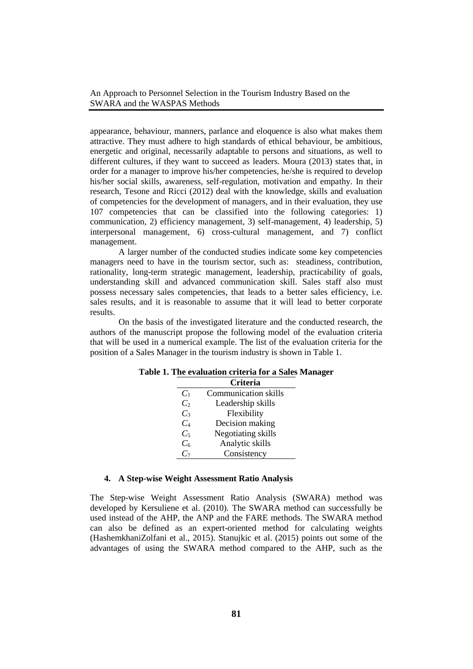appearance, behaviour, manners, parlance and eloquence is also what makes them attractive. They must adhere to high standards of ethical behaviour, be ambitious, energetic and original, necessarily adaptable to persons and situations, as well to different cultures, if they want to succeed as leaders. Moura (2013) states that, in order for a manager to improve his/her competencies, he/she is required to develop his/her social skills, awareness, self-regulation, motivation and empathy. In their research, Tesone and Ricci (2012) deal with the knowledge, skills and evaluation of competencies for the development of managers, and in their evaluation, they use 107 competencies that can be classified into the following categories: 1) communication, 2) efficiency management, 3) self-management, 4) leadership, 5) interpersonal management, 6) cross-cultural management, and 7) conflict management.

A larger number of the conducted studies indicate some key competencies managers need to have in the tourism sector, such as: steadiness, contribution, rationality, long-term strategic management, leadership, practicability of goals, understanding skill and advanced communication skill. Sales staff also must possess necessary sales competencies, that leads to a better sales efficiency, i.e. sales results, and it is reasonable to assume that it will lead to better corporate results.

On the basis of the investigated literature and the conducted research, the authors of the manuscript propose the following model of the evaluation criteria that will be used in a numerical example. The list of the evaluation criteria for the position of a Sales Manager in the tourism industry is shown in Table 1.

|                | <b>Criteria</b>      |
|----------------|----------------------|
| $C_1$          | Communication skills |
| C <sub>2</sub> | Leadership skills    |
| $C_3$          | Flexibility          |
| $C_4$          | Decision making      |
| $C_5$          | Negotiating skills   |
| $C_6$          | Analytic skills      |
| $C_7$          | Consistency          |

#### **Table 1. The evaluation criteria for a Sales Manager**

#### **4. A Step-wise Weight Assessment Ratio Analysis**

The Step-wise Weight Assessment Ratio Analysis (SWARA) method was developed by Kersuliene et al. (2010). The SWARA method can successfully be used instead of the AHP, the ANP and the FARE methods. The SWARA method can also be defined as an expert-oriented method for calculating weights (HashemkhaniZolfani et al., 2015). Stanujkic et al. (2015) points out some of the advantages of using the SWARA method compared to the AHP, such as the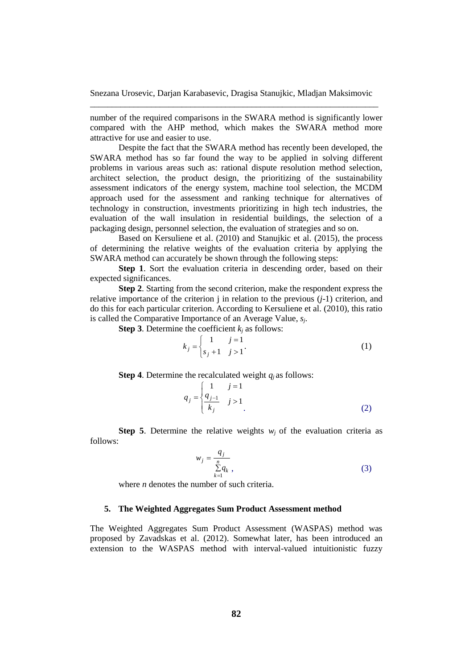number of the required comparisons in the SWARA method is significantly lower compared with the AHP method, which makes the SWARA method more attractive for use and easier to use.

Despite the fact that the SWARA method has recently been developed, the SWARA method has so far found the way to be applied in solving different problems in various areas such as: rational dispute resolution method selection, architect selection, the product design, the prioritizing of the sustainability assessment indicators of the energy system, machine tool selection, the MCDM approach used for the assessment and ranking technique for alternatives of technology in construction, investments prioritizing in high tech industries, the evaluation of the wall insulation in residential buildings, the selection of a packaging design, personnel selection, the evaluation of strategies and so on.

Based on Kersuliene et al. (2010) and Stanujkic et al. (2015), the process of determining the relative weights of the evaluation criteria by applying the SWARA method can accurately be shown through the following steps:

**Step 1**. Sort the evaluation criteria in descending order, based on their expected significances.

**Step 2**. Starting from the second criterion, make the respondent express the relative importance of the criterion  $\mathbf j$  in relation to the previous  $(i-1)$  criterion, and do this for each particular criterion. According to Kersuliene et al. (2010), this ratio is called the Comparative Importance of an Average Value, *sj*.

**Step 3**. Determine the coefficient  $k_i$  as follows:

$$
k_{j} = \begin{cases} 1 & j = 1 \\ s_{j} + 1 & j > 1 \end{cases}.
$$
 (1)

**Step 4**. Determine the recalculated weight  $q_i$  as follows:

$$
q_j = \begin{cases} 1 & j = 1 \\ \frac{q_{j-1}}{k_j} & j > 1 \\ 0 & \end{cases}
$$
 (2)

**Step 5.** Determine the relative weights  $w_i$  of the evaluation criteria as follows:

$$
w_j = \frac{q_j}{\sum\limits_{k=1}^n q_k},\tag{3}
$$

where *n* denotes the number of such criteria.

# **5. The Weighted Aggregates Sum Product Assessment method**

The Weighted Aggregates Sum Product Assessment (WASPAS) method was proposed by Zavadskas et al. (2012). Somewhat later, has been introduced an extension to the WASPAS method with interval-valued intuitionistic fuzzy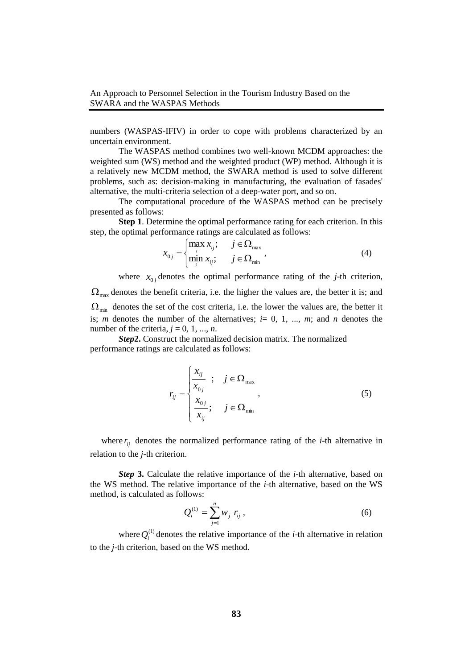numbers (WASPAS-IFIV) in order to cope with problems characterized by an uncertain environment.

The WASPAS method combines two well-known MCDM approaches: the weighted sum (WS) method and the weighted product (WP) method. Although it is a relatively new MCDM method, the SWARA method is used to solve different problems, such as: decision-making in manufacturing, the evaluation of fasades' alternative, the multi-criteria selection of a deep-water port, and so on.

The computational procedure of the WASPAS method can be precisely presented as follows:

**Step 1**. Determine the optimal performance rating for each criterion. In this step, the optimal performance ratings are calculated as follows:

$$
x_{0j} = \begin{cases} \max_i x_{ij}; & j \in \Omega_{\max} \\ \min_i x_{ij}; & j \in \Omega_{\min} \end{cases}
$$
 (4)

where  $x_{0j}$  denotes the optimal performance rating of the *j*-th criterion,  $\Omega_{\text{max}}$  denotes the benefit criteria, i.e. the higher the values are, the better it is; and  $\Omega_{\min}$  denotes the set of the cost criteria, i.e. the lower the values are, the better it is; *m* denotes the number of the alternatives;  $i=0, 1, ..., m$ ; and *n* denotes the number of the criteria,  $j = 0, 1, ..., n$ .

*Step***2.** Construct the normalized decision matrix. The normalized performance ratings are calculated as follows:

$$
r_{ij} = \begin{cases} \frac{x_{ij}}{x_{0j}} & ; \quad j \in \Omega_{\text{max}}\\ \frac{x_{0j}}{x_{ij}} & ; \quad j \in \Omega_{\text{min}} \end{cases}
$$
\n(5)

where  $r_{ij}$  denotes the normalized performance rating of the *i*-th alternative in relation to the *j*-th criterion.

**Step 3.** Calculate the relative importance of the *i*-th alternative, based on the WS method. The relative importance of the *i*-th alternative, based on the WS method, is calculated as follows:

$$
Q_i^{(1)} = \sum_{j=1}^n w_j \ r_{ij} \ , \qquad (6)
$$

where  $Q_i^{(1)}$  denotes the relative importance of the *i*-th alternative in relation to the *j*-th criterion, based on the WS method.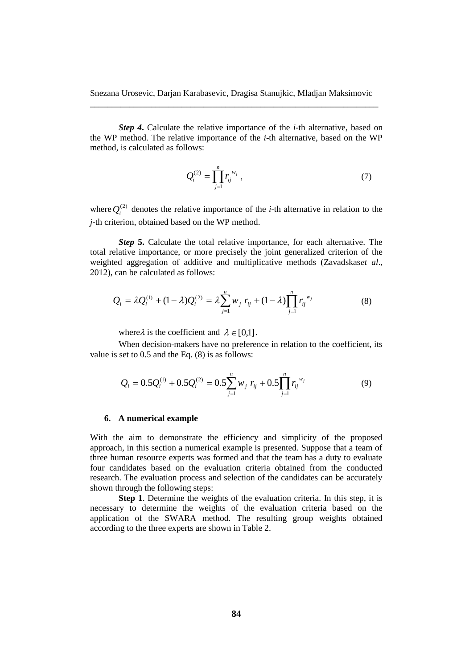**Step 4.** Calculate the relative importance of the *i*-th alternative, based on the WP method. The relative importance of the *i*-th alternative, based on the WP method, is calculated as follows:

$$
Q_i^{(2)} = \prod_{j=1}^n r_{ij}^{w_j} , \qquad (7)
$$

where  $Q_i^{(2)}$  denotes the relative importance of the *i*-th alternative in relation to the *j*-th criterion, obtained based on the WP method.

**Step 5.** Calculate the total relative importance, for each alternative. The total relative importance, or more precisely the joint generalized criterion of the weighted aggregation of additive and multiplicative methods (Zavadskas*et al*., 2012), can be calculated as follows:

$$
Q_i = \lambda Q_i^{(1)} + (1 - \lambda)Q_i^{(2)} = \lambda \sum_{j=1}^n w_j \ r_{ij} + (1 - \lambda) \prod_{j=1}^n r_{ij}^{w_j}
$$
(8)

where  $\lambda$  is the coefficient and  $\lambda \in [0,1]$ .

When decision-makers have no preference in relation to the coefficient, its value is set to 0.5 and the Eq. (8) is as follows:

$$
Q_i = 0.5Q_i^{(1)} + 0.5Q_i^{(2)} = 0.5\sum_{j=1}^n w_j \ r_{ij} + 0.5\prod_{j=1}^n r_{ij}^{w_j}
$$
(9)

#### **6. A numerical example**

With the aim to demonstrate the efficiency and simplicity of the proposed approach, in this section a numerical example is presented. Suppose that a team of three human resource experts was formed and that the team has a duty to evaluate four candidates based on the evaluation criteria obtained from the conducted research. The evaluation process and selection of the candidates can be accurately shown through the following steps:

**Step 1**. Determine the weights of the evaluation criteria. In this step, it is necessary to determine the weights of the evaluation criteria based on the application of the SWARA method. The resulting group weights obtained according to the three experts are shown in Table 2.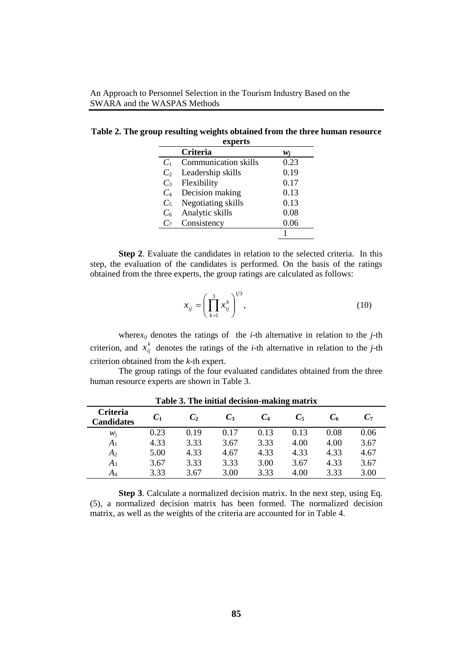| experts        |                             |      |  |  |  |  |
|----------------|-----------------------------|------|--|--|--|--|
|                | <b>Criteria</b>             | W i  |  |  |  |  |
| $C_1$          | <b>Communication skills</b> | 0.23 |  |  |  |  |
| C <sub>2</sub> | Leadership skills           | 0.19 |  |  |  |  |
| $C_3$          | Flexibility                 | 0.17 |  |  |  |  |
| $C_4$          | Decision making             | 0.13 |  |  |  |  |
| $C_5$          | Negotiating skills          | 0.13 |  |  |  |  |
| $C_6$          | Analytic skills             | 0.08 |  |  |  |  |
| $C_7$          | Consistency                 | 0.06 |  |  |  |  |
|                |                             |      |  |  |  |  |

**Table 2. The group resulting weights obtained from the three human resource** 

**Step 2**. Evaluate the candidates in relation to the selected criteria. In this step, the evaluation of the candidates is performed. On the basis of the ratings obtained from the three experts, the group ratings are calculated as follows:

$$
x_{ij} = \left(\prod_{k=1}^{3} x_{ij}^{k}\right)^{1/3},
$$
 (10)

where*xij* denotes the ratings of the *i*-th alternative in relation to the *j*-th criterion, and  $x_{ij}^k$  denotes the ratings of the *i*-th alternative in relation to the *j*-th criterion obtained from the *k*-th expert.

The group ratings of the four evaluated candidates obtained from the three human resource experts are shown in Table 3.

| <b>Criteria</b><br><b>Candidates</b> | $C_1$ | $C_2$ | $C_3$ | $C_4$ | $C_5$ | C6   | C7   |
|--------------------------------------|-------|-------|-------|-------|-------|------|------|
| Wi                                   | 0.23  | 0.19  | 0.17  | 0.13  | 0.13  | 0.08 | 0.06 |
| A <sub>1</sub>                       | 4.33  | 3.33  | 3.67  | 3.33  | 4.00  | 4.00 | 3.67 |
| A <sub>2</sub>                       | 5.00  | 4.33  | 4.67  | 4.33  | 4.33  | 4.33 | 4.67 |
| $A_3$                                | 3.67  | 3.33  | 3.33  | 3.00  | 3.67  | 4.33 | 3.67 |
| $A_4$                                | 3.33  | 3.67  | 3.00  | 3.33  | 4.00  | 3.33 | 3.00 |

**Table 3. The initial decision-making matrix**

**Step 3**. Calculate a normalized decision matrix. In the next step, using Eq. (5), a normalized decision matrix has been formed. The normalized decision matrix, as well as the weights of the criteria are accounted for in Table 4.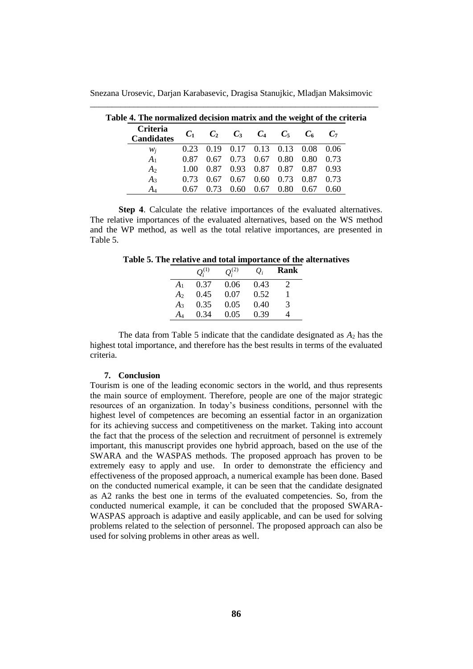Snezana Urosevic, Darjan Karabasevic, Dragisa Stanujkic, Mladjan Maksimovic \_\_\_\_\_\_\_\_\_\_\_\_\_\_\_\_\_\_\_\_\_\_\_\_\_\_\_\_\_\_\_\_\_\_\_\_\_\_\_\_\_\_\_\_\_\_\_\_\_\_\_\_\_\_\_\_\_\_\_\_\_\_\_\_\_\_

| ie 4. The normalized decision matrix and the weight of the cri |       |      |             |             |      |                                     |      |
|----------------------------------------------------------------|-------|------|-------------|-------------|------|-------------------------------------|------|
| Criteria<br><b>Candidates</b>                                  | $C_1$ |      |             |             |      | $C_2$ $C_3$ $C_4$ $C_5$ $C_6$ $C_7$ |      |
| $W_i$                                                          |       |      |             |             |      | 0.23 0.19 0.17 0.13 0.13 0.08 0.06  |      |
| A <sub>1</sub>                                                 | 0.87  |      | $0.67$ 0.73 | $0.67$ 0.80 |      | 0.80 0.73                           |      |
| A <sub>2</sub>                                                 |       |      |             |             |      | 1.00 0.87 0.93 0.87 0.87 0.87 0.93  |      |
| $A_3$                                                          | 0.73  | 0.67 | 0.67        |             |      | $0.60$ $0.73$ $0.87$ $0.73$         |      |
| A4                                                             | 0.67  | 0.73 | 0.60        | 0.67        | 0.80 | 0.67                                | 0.60 |

**Table 4. The normalized decision matrix and the weight of the criteria** 

**Step 4**. Calculate the relative importances of the evaluated alternatives. The relative importances of the evaluated alternatives, based on the WS method and the WP method, as well as the total relative importances, are presented in Table 5.

**Table 5. The relative and total importance of the alternatives**

|                | $O_i^{(1)}$ | $O_i^{(2)}$ | $Q_i$ | Rank |
|----------------|-------------|-------------|-------|------|
| $A_1$          | 0.37        | 0.06        | 0.43  |      |
| A <sub>2</sub> | 0.45        | 0.07        | 0.52  |      |
| $A_3$          | 0.35        | 0.05        | 0.40  | 3    |
| A4             | 0.34        | 0.05        | 0.39  |      |

The data from Table 5 indicate that the candidate designated as  $A_2$  has the highest total importance, and therefore has the best results in terms of the evaluated criteria.

#### **7. Conclusion**

Tourism is one of the leading economic sectors in the world, and thus represents the main source of employment. Therefore, people are one of the major strategic resources of an organization. In today's business conditions, personnel with the highest level of competences are becoming an essential factor in an organization for its achieving success and competitiveness on the market. Taking into account the fact that the process of the selection and recruitment of personnel is extremely important, this manuscript provides one hybrid approach, based on the use of the SWARA and the WASPAS methods. The proposed approach has proven to be extremely easy to apply and use. In order to demonstrate the efficiency and effectiveness of the proposed approach, a numerical example has been done. Based on the conducted numerical example, it can be seen that the candidate designated as A2 ranks the best one in terms of the evaluated competencies. So, from the conducted numerical example, it can be concluded that the proposed SWARA-WASPAS approach is adaptive and easily applicable, and can be used for solving problems related to the selection of personnel. The proposed approach can also be used for solving problems in other areas as well.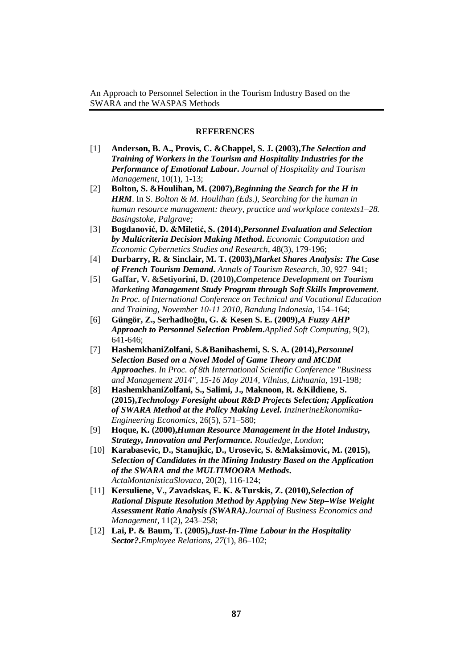#### **REFERENCES**

- [1] **Anderson, B. A., Provis, C. &Chappel, S. J. (2003),***The Selection and Training of Workers in the Tourism and Hospitality Industries for the Performance of Emotional Labour***.** *Journal of Hospitality and Tourism Management*, 10(1), 1-13;
- [2] **Bolton, S. &Houlihan, M. (2007),***Beginning the Search for the H in HRM*. In S. *Bolton & M. Houlihan (Eds.), Searching for the human in human resource management: theory, practice and workplace contexts1–28. Basingstoke, Palgrave;*
- [3] **Bogdanović, D. &Miletić, S. (2014),***Personnel Evaluation and Selection by Multicriteria Decision Making Method***.** *Economic Computation and Economic Cybernetics Studies and Research*, 48(3), 179-196;
- [4] **Durbarry, R. & Sinclair, M. T. (2003),***Market Shares Analysis: The Case of French Tourism Demand***.** *Annals of Tourism Research, 30*, 927–941;
- [5] **Gaffar, V. &Setiyorini, D. (2010),***Competence Development on Tourism Marketing Management Study Program through Soft Skills Improvement. In Proc. of International Conference on Technical and Vocational Education and Training, November 10-11 2010, Bandung Indonesia,* 154–164;
- [6] **Güngör, Z., Serhadlıoğlu, G. & Kesen S. E. (2009),***A Fuzzy AHP Approach to Personnel Selection Problem***.***Applied Soft Computing*, 9(2), 641-646;
- [7] **HashemkhaniZolfani, S.&Banihashemi, S. S. A. (2014),***Personnel Selection Based on a Novel Model of Game Theory and MCDM Approaches*. *In Proc. of 8th International Scientific Conference "Business and Management 2014", 15-16 May 2014, Vilnius, Lithuania,* 191-198*;*
- [8] **HashemkhaniZolfani, S., Salimi, J., Maknoon, R. &Kildiene, S. (2015),***Technology Foresight about R&D Projects Selection; Application of SWARA Method at the Policy Making Level. InzinerineEkonomika-Engineering Economics*, 26(5), 571–580;
- [9] **Hoque, K. (2000),***Human Resource Management in the Hotel Industry, Strategy, Innovation and Performance. Routledge, London*;
- [10] **Karabasevic, D., Stanujkic, D., Urosevic, S. &Maksimovic, M. (2015),** *Selection of Candidates in the Mining Industry Based on the Application of the SWARA and the MULTIMOORA Methods***.** *ActaMontanisticaSlovaca*, 20(2), 116-124;
- [11] **Kersuliene, V., Zavadskas, E. K. &Turskis, Z. (2010),***Selection of Rational Dispute Resolution Method by Applying New Step–Wise Weight Assessment Ratio Analysis (SWARA).Journal of Business Economics and Management*, 11(2), 243–258;
- [12] **Lai, P. & Baum, T. (2005),***Just-In-Time Labour in the Hospitality Sector?***.***Employee Relations, 27*(1), 86–102;